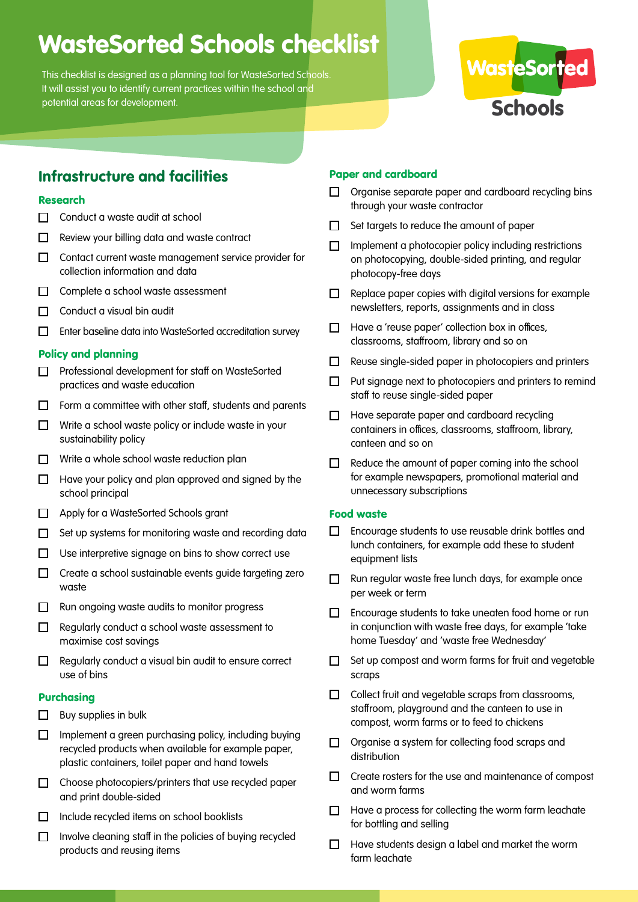# WasteSorted Schools checklist

This checklist is designed as a planning tool for WasteSorted Schools. It will assist you to identify current practices within the school and potential areas for development.



# Infrastructure and facilities

# Research

- $\Box$  Conduct a waste audit at school
- $\Box$  Review your billing data and waste contract
- $\Box$  Contact current waste management service provider for collection information and data
- $\Box$  Complete a school waste assessment
- $\Box$  Conduct a visual bin audit
- Enter baseline data into WasteSorted accreditation survey

# Policy and planning

- □ Professional development for staff on WasteSorted practices and waste education
- $\Box$  Form a committee with other staff, students and parents
- $\Box$  Write a school waste policy or include waste in your sustainability policy
- $\Box$  Write a whole school waste reduction plan
- $\Box$  Have your policy and plan approved and signed by the school principal
- □ Apply for a WasteSorted Schools grant
- $\Box$  Set up systems for monitoring waste and recording data
- $\Box$  Use interpretive signage on bins to show correct use
- $\Box$  Create a school sustainable events guide targeting zero waste
- $\Box$  Run ongoing waste audits to monitor progress
- $\Box$  Regularly conduct a school waste assessment to maximise cost savings
- $\Box$  Regularly conduct a visual bin audit to ensure correct use of bins

# Purchasing

- $\Box$  Buy supplies in bulk
- $\Box$  Implement a green purchasing policy, including buying recycled products when available for example paper, plastic containers, toilet paper and hand towels
- $\Box$  Choose photocopiers/printers that use recycled paper and print double-sided
- $\Box$  Include recycled items on school booklists
- Involve cleaning staff in the policies of buying recycled  $\Box$ products and reusing items

## Paper and cardboard

- $\Box$  Organise separate paper and cardboard recycling bins through your waste contractor
- $\Box$  Set targets to reduce the amount of paper
- $\Box$  Implement a photocopier policy including restrictions on photocopying, double-sided printing, and regular photocopy-free days
- $\Box$  Replace paper copies with digital versions for example newsletters, reports, assignments and in class
- $\Box$  Have a 'reuse paper' collection box in offices, classrooms, staffroom, library and so on
- $\Box$  Reuse single-sided paper in photocopiers and printers
- $\Box$  Put signage next to photocopiers and printers to remind staff to reuse single-sided paper
- Have separate paper and cardboard recycling containers in offices, classrooms, staffroom, library, canteen and so on
- $\Box$  Reduce the amount of paper coming into the school for example newspapers, promotional material and unnecessary subscriptions

#### Food waste

- $\Box$ Encourage students to use reusable drink bottles and lunch containers, for example add these to student equipment lists
- $\Box$  Run regular waste free lunch days, for example once per week or term
- $\Box$  Encourage students to take uneaten food home or run in conjunction with waste free days, for example 'take home Tuesday' and 'waste free Wednesday'
- $\Box$  Set up compost and worm farms for fruit and vegetable scraps
- $\Box$  Collect fruit and vegetable scraps from classrooms, staffroom, playground and the canteen to use in compost, worm farms or to feed to chickens
- $\Box$  Organise a system for collecting food scraps and distribution
- $\Box$  Create rosters for the use and maintenance of compost and worm farms
- $\Box$  Have a process for collecting the worm farm leachate for bottling and selling
- $\Box$  Have students design a label and market the worm farm leachate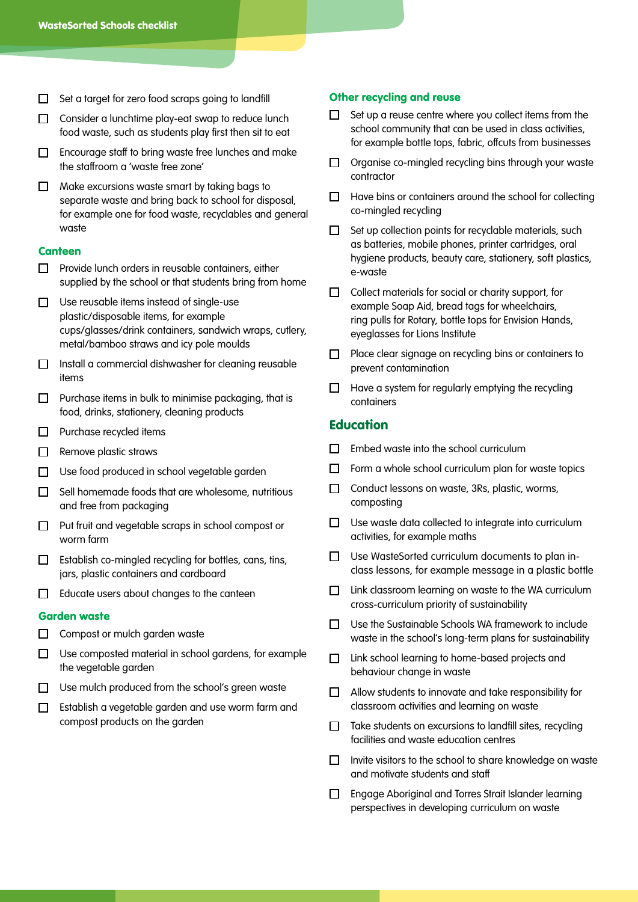- $\Box$  Set a target for zero food scraps going to landfill
- $\Box$  Consider a lunchtime play-eat swap to reduce lunch food waste, such as students play first then sit to eat
- $\Box$  Encourage staff to bring waste free lunches and make the staffroom a 'waste free zone'
- $\Box$  Make excursions waste smart by taking bags to separate waste and bring back to school for disposal, for example one for food waste, recyclables and general waste

#### **Canteen**

- $\Box$  Provide lunch orders in reusable containers, either supplied by the school or that students bring from home
- $\Box$  Use reusable items instead of single-use plastic/disposable items, for example cups/glasses/drink containers, sandwich wraps, cutlery, metal/bamboo straws and icy pole moulds
- $\Box$  Install a commercial dishwasher for cleaning reusable items
- $\Box$  Purchase items in bulk to minimise packaging, that is food, drinks, stationery, cleaning products
- $\Box$  Purchase recycled items
- $\Box$  Remove plastic straws
- $\Box$  Use food produced in school vegetable garden
- $\Box$  Sell homemade foods that are wholesome, nutritious and free from packaging
- $\Box$  Put fruit and vegetable scraps in school compost or worm farm
- $\Box$  Establish co-mingled recycling for bottles, cans, tins, jars, plastic containers and cardboard
- $\Box$  Educate users about changes to the canteen

#### Garden waste

- $\Box$  Compost or mulch garden waste
- $\Box$  Use composted material in school gardens, for example the vegetable garden
- $\Box$  Use mulch produced from the school's green waste
- Establish a vegetable garden and use worm farm and compost products on the garden

#### Other recycling and reuse

- $\Box$  Set up a reuse centre where you collect items from the school community that can be used in class activities, for example bottle tops, fabric, offcuts from businesses
- $\Box$  Organise co-mingled recycling bins through your waste contractor
- $\Box$  Have bins or containers around the school for collecting co-mingled recycling
- $\Box$  Set up collection points for recyclable materials, such as batteries, mobile phones, printer cartridges, oral hygiene products, beauty care, stationery, soft plastics, e-waste
- $\Box$  Collect materials for social or charity support, for example Soap Aid, bread tags for wheelchairs, ring pulls for Rotary, bottle tops for Envision Hands, eyeglasses for Lions Institute
- $\Box$  Place clear signage on recycling bins or containers to prevent contamination
- $\Box$  Have a system for regularly emptying the recycling containers

# **Education**

- $\Box$  Embed waste into the school curriculum
- Form a whole school curriculum plan for waste topics П.
- $\Box$  Conduct lessons on waste, 3Rs, plastic, worms, composting
- $\Box$  Use waste data collected to integrate into curriculum activities, for example maths
- □ Use WasteSorted curriculum documents to plan inclass lessons, for example message in a plastic bottle
- $\Box$  Link classroom learning on waste to the WA curriculum cross-curriculum priority of sustainability
- □ Use the Sustainable Schools WA framework to include waste in the school's long-term plans for sustainability
- □ Link school learning to home-based projects and behaviour change in waste
- $\Box$  Allow students to innovate and take responsibility for classroom activities and learning on waste
- $\Box$  Take students on excursions to landfill sites, recycling facilities and waste education centres
- $\Box$  Invite visitors to the school to share knowledge on waste and motivate students and staff
- Engage Aboriginal and Torres Strait Islander learning perspectives in developing curriculum on waste